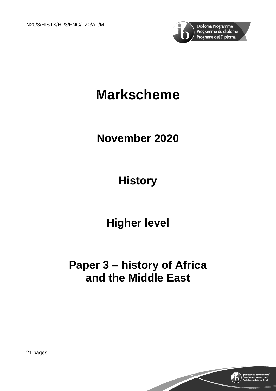

# **Markscheme**

# **November 2020**

**History**

**Higher level**

# **Paper 3 – history of Africa and the Middle East**



21 pages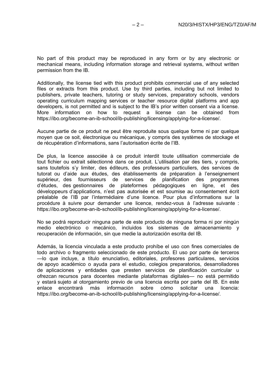No part of this product may be reproduced in any form or by any electronic or mechanical means, including information storage and retrieval systems, without written permission from the IB.

Additionally, the license tied with this product prohibits commercial use of any selected files or extracts from this product. Use by third parties, including but not limited to publishers, private teachers, tutoring or study services, preparatory schools, vendors operating curriculum mapping services or teacher resource digital platforms and app developers, is not permitted and is subject to the IB's prior written consent via a license. More information on how to request a license can be obtained from https://ibo.org/become-an-ib-school/ib-publishing/licensing/applying-for-a-license/.

Aucune partie de ce produit ne peut être reproduite sous quelque forme ni par quelque moyen que ce soit, électronique ou mécanique, y compris des systèmes de stockage et de récupération d'informations, sans l'autorisation écrite de l'IB.

De plus, la licence associée à ce produit interdit toute utilisation commerciale de tout fichier ou extrait sélectionné dans ce produit. L'utilisation par des tiers, y compris, sans toutefois s'y limiter, des éditeurs, des professeurs particuliers, des services de tutorat ou d'aide aux études, des établissements de préparation à l'enseignement supérieur, des fournisseurs de services de planification des programmes d'études, des gestionnaires de plateformes pédagogiques en ligne, et des développeurs d'applications, n'est pas autorisée et est soumise au consentement écrit préalable de l'IB par l'intermédiaire d'une licence. Pour plus d'informations sur la procédure à suivre pour demander une licence, rendez-vous à l'adresse suivante : https://ibo.org/become-an-ib-school/ib-publishing/licensing/applying-for-a-license/.

No se podrá reproducir ninguna parte de este producto de ninguna forma ni por ningún medio electrónico o mecánico, incluidos los sistemas de almacenamiento y recuperación de información, sin que medie la autorización escrita del IB.

Además, la licencia vinculada a este producto prohíbe el uso con fines comerciales de todo archivo o fragmento seleccionado de este producto. El uso por parte de terceros —lo que incluye, a título enunciativo, editoriales, profesores particulares, servicios de apoyo académico o ayuda para el estudio, colegios preparatorios, desarrolladores de aplicaciones y entidades que presten servicios de planificación curricular u ofrezcan recursos para docentes mediante plataformas digitales— no está permitido y estará sujeto al otorgamiento previo de una licencia escrita por parte del IB. En este<br>enlace encontrará más información sobre cómo solicitar una licencia: enlace encontrará más https://ibo.org/become-an-ib-school/ib-publishing/licensing/applying-for-a-license/.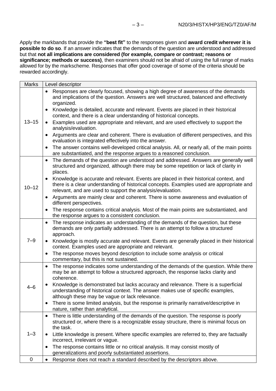Apply the markbands that provide the **"best fit"** to the responses given and **award credit wherever it is possible to do so**. If an answer indicates that the demands of the question are understood and addressed but that **not all implications are considered (for example, compare or contrast; reasons or significance; methods or success)**, then examiners should not be afraid of using the full range of marks allowed for by the markscheme. Responses that offer good coverage of some of the criteria should be rewarded accordingly.

| <b>Marks</b> | Level descriptor                                                                                                                                                                                                                                                                 |
|--------------|----------------------------------------------------------------------------------------------------------------------------------------------------------------------------------------------------------------------------------------------------------------------------------|
| $13 - 15$    | Responses are clearly focused, showing a high degree of awareness of the demands<br>and implications of the question. Answers are well structured, balanced and effectively<br>organized.<br>Knowledge is detailed, accurate and relevant. Events are placed in their historical |
|              | context, and there is a clear understanding of historical concepts.<br>Examples used are appropriate and relevant, and are used effectively to support the<br>analysis/evaluation.                                                                                               |
|              | Arguments are clear and coherent. There is evaluation of different perspectives, and this<br>evaluation is integrated effectively into the answer.                                                                                                                               |
|              | The answer contains well-developed critical analysis. All, or nearly all, of the main points<br>$\bullet$<br>are substantiated, and the response argues to a reasoned conclusion.                                                                                                |
| $10 - 12$    | The demands of the question are understood and addressed. Answers are generally well<br>$\bullet$<br>structured and organized, although there may be some repetition or lack of clarity in<br>places.                                                                            |
|              | Knowledge is accurate and relevant. Events are placed in their historical context, and<br>there is a clear understanding of historical concepts. Examples used are appropriate and<br>relevant, and are used to support the analysis/evaluation.                                 |
|              | Arguments are mainly clear and coherent. There is some awareness and evaluation of<br>different perspectives.                                                                                                                                                                    |
|              | The response contains critical analysis. Most of the main points are substantiated, and<br>the response argues to a consistent conclusion.                                                                                                                                       |
| $7 - 9$      | The response indicates an understanding of the demands of the question, but these<br>demands are only partially addressed. There is an attempt to follow a structured<br>approach.                                                                                               |
|              | Knowledge is mostly accurate and relevant. Events are generally placed in their historical<br>context. Examples used are appropriate and relevant.                                                                                                                               |
|              | The response moves beyond description to include some analysis or critical<br>$\bullet$<br>commentary, but this is not sustained.                                                                                                                                                |
| $4 - 6$      | The response indicates some understanding of the demands of the question. While there<br>$\bullet$<br>may be an attempt to follow a structured approach, the response lacks clarity and<br>coherence.                                                                            |
|              | Knowledge is demonstrated but lacks accuracy and relevance. There is a superficial<br>understanding of historical context. The answer makes use of specific examples,<br>although these may be vague or lack relevance.                                                          |
|              | There is some limited analysis, but the response is primarily narrative/descriptive in<br>$\bullet$<br>nature, rather than analytical.                                                                                                                                           |
| $1 - 3$      | There is little understanding of the demands of the question. The response is poorly<br>$\bullet$<br>structured or, where there is a recognizable essay structure, there is minimal focus on<br>the task.                                                                        |
|              | Little knowledge is present. Where specific examples are referred to, they are factually<br>incorrect, irrelevant or vague.                                                                                                                                                      |
|              | The response contains little or no critical analysis. It may consist mostly of<br>generalizations and poorly substantiated assertions.                                                                                                                                           |
| 0            | Response does not reach a standard described by the descriptors above.<br>$\bullet$                                                                                                                                                                                              |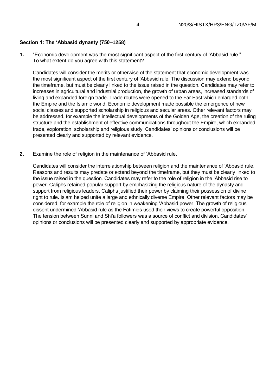#### **Section 1: The 'Abbasid dynasty (750–1258)**

**1.** "Economic development was the most significant aspect of the first century of 'Abbasid rule." To what extent do you agree with this statement?

Candidates will consider the merits or otherwise of the statement that economic development was the most significant aspect of the first century of 'Abbasid rule. The discussion may extend beyond the timeframe, but must be clearly linked to the issue raised in the question. Candidates may refer to increases in agricultural and industrial production, the growth of urban areas, increased standards of living and expanded foreign trade. Trade routes were opened to the Far East which enlarged both the Empire and the Islamic world. Economic development made possible the emergence of new social classes and supported scholarship in religious and secular areas. Other relevant factors may be addressed, for example the intellectual developments of the Golden Age, the creation of the ruling structure and the establishment of effective communications throughout the Empire, which expanded trade, exploration, scholarship and religious study. Candidates' opinions or conclusions will be presented clearly and supported by relevant evidence.

**2.** Examine the role of religion in the maintenance of 'Abbasid rule.

Candidates will consider the interrelationship between religion and the maintenance of 'Abbasid rule. Reasons and results may predate or extend beyond the timeframe, but they must be clearly linked to the issue raised in the question. Candidates may refer to the role of religion in the 'Abbasid rise to power. Caliphs retained popular support by emphasizing the religious nature of the dynasty and support from religious leaders. Caliphs justified their power by claiming their possession of divine right to rule. Islam helped unite a large and ethnically diverse Empire. Other relevant factors may be considered, for example the role of religion in weakening 'Abbasid power. The growth of religious dissent undermined 'Abbasid rule as the Fatimids used their views to create powerful opposition. The tension between Sunni and Shi'a followers was a source of conflict and division. Candidates' opinions or conclusions will be presented clearly and supported by appropriate evidence.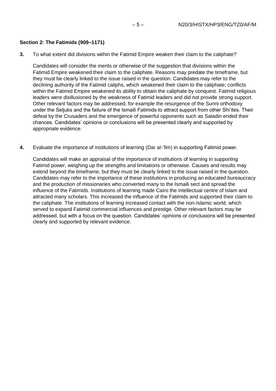#### **Section 2: The Fatimids (909–1171)**

**3.** To what extent did divisions within the Fatimid Empire weaken their claim to the caliphate?

Candidates will consider the merits or otherwise of the suggestion that divisions within the Fatimid Empire weakened their claim to the caliphate. Reasons may predate the timeframe, but they must be clearly linked to the issue raised in the question. Candidates may refer to the declining authority of the Fatimid caliphs, which weakened their claim to the caliphate; conflicts within the Fatimid Empire weakened its ability to obtain the caliphate by conquest. Fatimid religious leaders were disillusioned by the weakness of Fatimid leaders and did not provide strong support. Other relevant factors may be addressed, for example the resurgence of the Sunni orthodoxy under the Seljuks and the failure of the Ismaili Fatimids to attract support from other Shi'ites. Their defeat by the Crusaders and the emergence of powerful opponents such as Saladin ended their chances. Candidates' opinions or conclusions will be presented clearly and supported by appropriate evidence.

**4.** Evaluate the importance of institutions of learning (Dar al-'Ilm) in supporting Fatimid power.

Candidates will make an appraisal of the importance of institutions of learning in supporting Fatimid power, weighing up the strengths and limitations or otherwise. Causes and results may extend beyond the timeframe, but they must be clearly linked to the issue raised in the question. Candidates may refer to the importance of these institutions in producing an educated bureaucracy and the production of missionaries who converted many to the Ismaili sect and spread the influence of the Fatimids. Institutions of learning made Cairo the intellectual centre of Islam and attracted many scholars. This increased the influence of the Fatimids and supported their claim to the caliphate. The institutions of learning increased contact with the non-Islamic world, which served to expand Fatimid commercial influences and prestige. Other relevant factors may be addressed, but with a focus on the question. Candidates' opinions or conclusions will be presented clearly and supported by relevant evidence.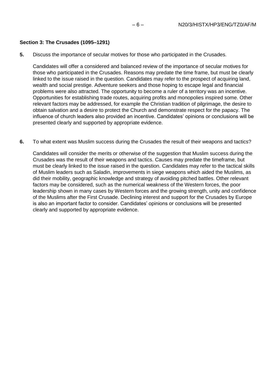#### **Section 3: The Crusades (1095–1291)**

**5.** Discuss the importance of secular motives for those who participated in the Crusades.

Candidates will offer a considered and balanced review of the importance of secular motives for those who participated in the Crusades. Reasons may predate the time frame, but must be clearly linked to the issue raised in the question. Candidates may refer to the prospect of acquiring land, wealth and social prestige. Adventure seekers and those hoping to escape legal and financial problems were also attracted. The opportunity to become a ruler of a territory was an incentive. Opportunities for establishing trade routes, acquiring profits and monopolies inspired some. Other relevant factors may be addressed, for example the Christian tradition of pilgrimage, the desire to obtain salvation and a desire to protect the Church and demonstrate respect for the papacy. The influence of church leaders also provided an incentive. Candidates' opinions or conclusions will be presented clearly and supported by appropriate evidence.

**6.** To what extent was Muslim success during the Crusades the result of their weapons and tactics?

Candidates will consider the merits or otherwise of the suggestion that Muslim success during the Crusades was the result of their weapons and tactics. Causes may predate the timeframe, but must be clearly linked to the issue raised in the question. Candidates may refer to the tactical skills of Muslim leaders such as Saladin, improvements in siege weapons which aided the Muslims, as did their mobility, geographic knowledge and strategy of avoiding pitched battles. Other relevant factors may be considered, such as the numerical weakness of the Western forces, the poor leadership shown in many cases by Western forces and the growing strength, unity and confidence of the Muslims after the First Crusade. Declining interest and support for the Crusades by Europe is also an important factor to consider. Candidates' opinions or conclusions will be presented clearly and supported by appropriate evidence.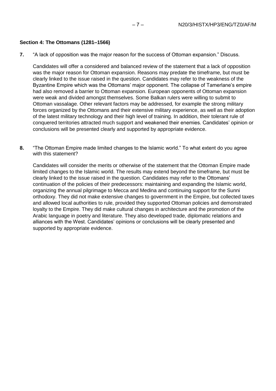#### **Section 4: The Ottomans (1281–1566)**

**7.** "A lack of opposition was the major reason for the success of Ottoman expansion." Discuss.

Candidates will offer a considered and balanced review of the statement that a lack of opposition was the major reason for Ottoman expansion. Reasons may predate the timeframe, but must be clearly linked to the issue raised in the question. Candidates may refer to the weakness of the Byzantine Empire which was the Ottomans' major opponent. The collapse of Tamerlane's empire had also removed a barrier to Ottoman expansion. European opponents of Ottoman expansion were weak and divided amongst themselves. Some Balkan rulers were willing to submit to Ottoman vassalage. Other relevant factors may be addressed, for example the strong military forces organized by the Ottomans and their extensive military experience, as well as their adoption of the latest military technology and their high level of training. In addition, their tolerant rule of conquered territories attracted much support and weakened their enemies. Candidates' opinion or conclusions will be presented clearly and supported by appropriate evidence.

**8.** "The Ottoman Empire made limited changes to the Islamic world." To what extent do you agree with this statement?

Candidates will consider the merits or otherwise of the statement that the Ottoman Empire made limited changes to the Islamic world. The results may extend beyond the timeframe, but must be clearly linked to the issue raised in the question. Candidates may refer to the Ottomans' continuation of the policies of their predecessors: maintaining and expanding the Islamic world, organizing the annual pilgrimage to Mecca and Medina and continuing support for the Sunni orthodoxy. They did not make extensive changes to government in the Empire, but collected taxes and allowed local authorities to rule, provided they supported Ottoman policies and demonstrated loyalty to the Empire. They did make cultural changes in architecture and the promotion of the Arabic language in poetry and literature. They also developed trade, diplomatic relations and alliances with the West. Candidates' opinions or conclusions will be clearly presented and supported by appropriate evidence.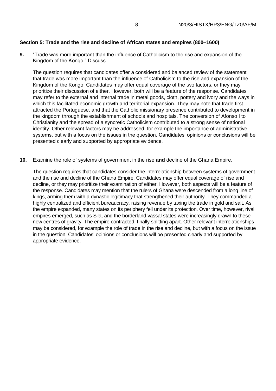# **Section 5: Trade and the rise and decline of African states and empires (800–1600)**

**9.** "Trade was more important than the influence of Catholicism to the rise and expansion of the Kingdom of the Kongo." Discuss.

The question requires that candidates offer a considered and balanced review of the statement that trade was more important than the influence of Catholicism to the rise and expansion of the Kingdom of the Kongo. Candidates may offer equal coverage of the two factors, or they may prioritize their discussion of either. However, both will be a feature of the response. Candidates may refer to the external and internal trade in metal goods, cloth, pottery and ivory and the ways in which this facilitated economic growth and territorial expansion. They may note that trade first attracted the Portuguese, and that the Catholic missionary presence contributed to development in the kingdom through the establishment of schools and hospitals. The conversion of Afonso I to Christianity and the spread of a syncretic Catholicism contributed to a strong sense of national identity. Other relevant factors may be addressed, for example the importance of administrative systems, but with a focus on the issues in the question. Candidates' opinions or conclusions will be presented clearly and supported by appropriate evidence.

**10.** Examine the role of systems of government in the rise **and** decline of the Ghana Empire.

The question requires that candidates consider the interrelationship between systems of government and the rise and decline of the Ghana Empire. Candidates may offer equal coverage of rise and decline, or they may prioritize their examination of either. However, both aspects will be a feature of the response. Candidates may mention that the rulers of Ghana were descended from a long line of kings, arming them with a dynastic legitimacy that strengthened their authority. They commanded a highly centralized and efficient bureaucracy, raising revenue by taxing the trade in gold and salt. As the empire expanded, many states on its periphery fell under its protection. Over time, however, rival empires emerged, such as Sila, and the borderland vassal states were increasingly drawn to these new centres of gravity. The empire contracted, finally splitting apart. Other relevant interrelationships may be considered, for example the role of trade in the rise and decline, but with a focus on the issue in the question. Candidates' opinions or conclusions will be presented clearly and supported by appropriate evidence.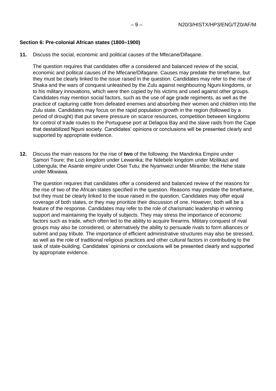#### **Section 6: Pre-colonial African states (1800–1900)**

**11.** Discuss the social, economic and political causes of the Mfecane/Difaqane.

The question requires that candidates offer a considered and balanced review of the social, economic and political causes of the Mfecane/Difaqane. Causes may predate the timeframe, but they must be clearly linked to the issue raised in the question. Candidates may refer to the rise of Shaka and the wars of conquest unleashed by the Zulu against neighbouring Nguni kingdoms, or to his military innovations, which were then copied by his victims and used against other groups. Candidates may mention social factors, such as the use of age grade regiments, as well as the practice of capturing cattle from defeated enemies and absorbing their women and children into the Zulu state. Candidates may focus on the rapid population growth in the region (followed by a period of drought) that put severe pressure on scarce resources, competition between kingdoms for control of trade routes to the Portuguese port at Delagoa Bay and the slave raids from the Cape that destabilized Nguni society. Candidates' opinions or conclusions will be presented clearly and supported by appropriate evidence.

**12.** Discuss the main reasons for the rise of **two** of the following: the Mandinka Empire under Samori Toure; the Lozi kingdom under Lewanika; the Ndebele kingdom under Mzilikazi and Lobengula; the Asante empire under Osei Tutu; the Nyamwezi under Mirambo; the Hehe state under Mkwawa.

The question requires that candidates offer a considered and balanced review of the reasons for the rise of two of the African states specified in the question. Reasons may predate the timeframe, but they must be clearly linked to the issue raised in the question. Candidates may offer equal coverage of both states, or they may prioritize their discussion of one. However, both will be a feature of the response. Candidates may refer to the role of charismatic leadership in winning support and maintaining the loyalty of subjects. They may stress the importance of economic factors such as trade, which often led to the ability to acquire firearms. Military conquest of rival groups may also be considered, or alternatively the ability to persuade rivals to form alliances or submit and pay tribute. The importance of efficient administrative structures may also be stressed, as well as the role of traditional religious practices and other cultural factors in contributing to the task of state-building. Candidates' opinions or conclusions will be presented clearly and supported by appropriate evidence.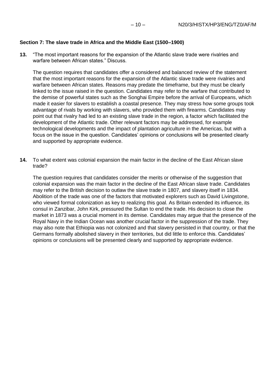#### **Section 7: The slave trade in Africa and the Middle East (1500–1900)**

**13.** "The most important reasons for the expansion of the Atlantic slave trade were rivalries and warfare between African states." Discuss.

The question requires that candidates offer a considered and balanced review of the statement that the most important reasons for the expansion of the Atlantic slave trade were rivalries and warfare between African states. Reasons may predate the timeframe, but they must be clearly linked to the issue raised in the question. Candidates may refer to the warfare that contributed to the demise of powerful states such as the Songhai Empire before the arrival of Europeans, which made it easier for slavers to establish a coastal presence. They may stress how some groups took advantage of rivals by working with slavers, who provided them with firearms. Candidates may point out that rivalry had led to an existing slave trade in the region, a factor which facilitated the development of the Atlantic trade. Other relevant factors may be addressed, for example technological developments and the impact of plantation agriculture in the Americas, but with a focus on the issue in the question. Candidates' opinions or conclusions will be presented clearly and supported by appropriate evidence.

**14.** To what extent was colonial expansion the main factor in the decline of the East African slave trade?

The question requires that candidates consider the merits or otherwise of the suggestion that colonial expansion was the main factor in the decline of the East African slave trade. Candidates may refer to the British decision to outlaw the slave trade in 1807, and slavery itself in 1834. Abolition of the trade was one of the factors that motivated explorers such as David Livingstone, who viewed formal colonization as key to realizing this goal. As Britain extended its influence, its consul in Zanzibar, John Kirk, pressured the Sultan to end the trade. His decision to close the market in 1873 was a crucial moment in its demise. Candidates may argue that the presence of the Royal Navy in the Indian Ocean was another crucial factor in the suppression of the trade. They may also note that Ethiopia was not colonized and that slavery persisted in that country, or that the Germans formally abolished slavery in their territories, but did little to enforce this. Candidates' opinions or conclusions will be presented clearly and supported by appropriate evidence.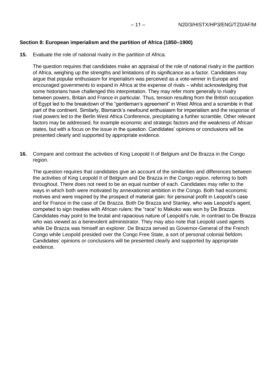# **Section 8: European imperialism and the partition of Africa (1850–1900)**

**15.** Evaluate the role of national rivalry in the partition of Africa.

The question requires that candidates make an appraisal of the role of national rivalry in the partition of Africa, weighing up the strengths and limitations of its significance as a factor. Candidates may argue that popular enthusiasm for imperialism was perceived as a vote-winner in Europe and encouraged governments to expand in Africa at the expense of rivals – whilst acknowledging that some historians have challenged this interpretation. They may refer more generally to rivalry between powers, Britain and France in particular. Thus, tension resulting from the British occupation of Egypt led to the breakdown of the "gentleman's agreement" in West Africa and a scramble in that part of the continent. Similarly, Bismarck's newfound enthusiasm for imperialism and the response of rival powers led to the Berlin West Africa Conference, precipitating a further scramble. Other relevant factors may be addressed, for example economic and strategic factors and the weakness of African states, but with a focus on the issue in the question. Candidates' opinions or conclusions will be presented clearly and supported by appropriate evidence.

**16.** Compare and contrast the activities of King Leopold II of Belgium and De Brazza in the Congo region.

The question requires that candidates give an account of the similarities and differences between the activities of King Leopold II of Belgium and De Brazza in the Congo region, referring to both throughout. There does not need to be an equal number of each. Candidates may refer to the ways in which both were motivated by annexationist ambition in the Congo. Both had economic motives and were inspired by the prospect of material gain: for personal profit in Leopold's case and for France in the case of De Brazza. Both De Brazza and Stanley, who was Leopold's agent, competed to sign treaties with African rulers: the "race" to Makoko was won by De Brazza. Candidates may point to the brutal and rapacious nature of Leopold's rule, in contrast to De Brazza who was viewed as a benevolent administrator. They may also note that Leopold used agents while De Brazza was himself an explorer. De Brazza served as Governor-General of the French Congo while Leopold presided over the Congo Free State, a sort of personal colonial fiefdom. Candidates' opinions or conclusions will be presented clearly and supported by appropriate evidence.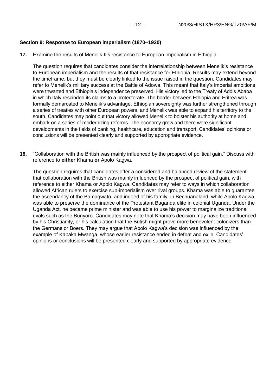#### **Section 9: Response to European imperialism (1870–1920)**

**17.** Examine the results of Menelik II's resistance to European imperialism in Ethiopia.

The question requires that candidates consider the interrelationship between Menelik's resistance to European imperialism and the results of that resistance for Ethiopia. Results may extend beyond the timeframe, but they must be clearly linked to the issue raised in the question. Candidates may refer to Menelik's military success at the Battle of Adowa. This meant that Italy's imperial ambitions were thwarted and Ethiopia's independence preserved. His victory led to the Treaty of Addis Ababa in which Italy rescinded its claims to a protectorate. The border between Ethiopia and Eritrea was formally demarcated to Menelik's advantage. Ethiopian sovereignty was further strengthened through a series of treaties with other European powers, and Menelik was able to expand his territory to the south. Candidates may point out that victory allowed Menelik to bolster his authority at home and embark on a series of modernizing reforms. The economy grew and there were significant developments in the fields of banking, healthcare, education and transport. Candidates' opinions or conclusions will be presented clearly and supported by appropriate evidence.

**18.** "Collaboration with the British was mainly influenced by the prospect of political gain." Discuss with reference to **either** Khama **or** Apolo Kagwa.

The question requires that candidates offer a considered and balanced review of the statement that collaboration with the British was mainly influenced by the prospect of political gain, with reference to either Khama or Apolo Kagwa. Candidates may refer to ways in which collaboration allowed African rulers to exercise sub-imperialism over rival groups. Khama was able to guarantee the ascendancy of the Bamagwato, and indeed of his family, in Bechuanaland, while Apolo Kagwa was able to preserve the dominance of the Protestant Baganda elite in colonial Uganda. Under the Uganda Act, he became prime minister and was able to use his power to marginalize traditional rivals such as the Bunyoro. Candidates may note that Khama's decision may have been influenced by his Christianity, or his calculation that the British might prove more benevolent colonizers than the Germans or Boers. They may argue that Apolo Kagwa's decision was influenced by the example of Kabaka Mwanga, whose earlier resistance ended in defeat and exile. Candidates' opinions or conclusions will be presented clearly and supported by appropriate evidence.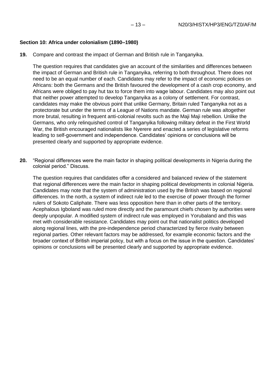#### **Section 10: Africa under colonialism (1890–1980)**

**19.** Compare and contrast the impact of German and British rule in Tanganyika.

The question requires that candidates give an account of the similarities and differences between the impact of German and British rule in Tanganyika, referring to both throughout. There does not need to be an equal number of each. Candidates may refer to the impact of economic policies on Africans: both the Germans and the British favoured the development of a cash crop economy, and Africans were obliged to pay hut tax to force them into wage labour. Candidates may also point out that neither power attempted to develop Tanganyika as a colony of settlement. For contrast, candidates may make the obvious point that unlike Germany, Britain ruled Tanganyika not as a protectorate but under the terms of a League of Nations mandate. German rule was altogether more brutal, resulting in frequent anti-colonial revolts such as the Maji Maji rebellion. Unlike the Germans, who only relinquished control of Tanganyika following military defeat in the First World War, the British encouraged nationalists like Nyerere and enacted a series of legislative reforms leading to self-government and independence. Candidates' opinions or conclusions will be presented clearly and supported by appropriate evidence.

**20.** "Regional differences were the main factor in shaping political developments in Nigeria during the colonial period." Discuss.

The question requires that candidates offer a considered and balanced review of the statement that regional differences were the main factor in shaping political developments in colonial Nigeria. Candidates may note that the system of administration used by the British was based on regional differences. In the north, a system of indirect rule led to the exercise of power through the former rulers of Sokoto Caliphate. There was less opposition here than in other parts of the territory. Acephalous Igboland was ruled more directly and the paramount chiefs chosen by authorities were deeply unpopular. A modified system of indirect rule was employed in Yorubaland and this was met with considerable resistance. Candidates may point out that nationalist politics developed along regional lines, with the pre-independence period characterized by fierce rivalry between regional parties. Other relevant factors may be addressed, for example economic factors and the broader context of British imperial policy, but with a focus on the issue in the question. Candidates' opinions or conclusions will be presented clearly and supported by appropriate evidence.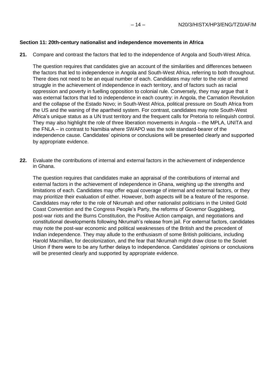# **Section 11: 20th-century nationalist and independence movements in Africa**

**21.** Compare and contrast the factors that led to the independence of Angola and South-West Africa.

The question requires that candidates give an account of the similarities and differences between the factors that led to independence in Angola and South-West Africa, referring to both throughout. There does not need to be an equal number of each. Candidates may refer to the role of armed struggle in the achievement of independence in each territory, and of factors such as racial oppression and poverty in fuelling opposition to colonial rule. Conversely, they may argue that it was external factors that led to independence in each country: in Angola, the Carnation Revolution and the collapse of the Estado Novo; in South-West Africa, political pressure on South Africa from the US and the waning of the apartheid system. For contrast, candidates may note South-West Africa's unique status as a UN trust territory and the frequent calls for Pretoria to relinquish control. They may also highlight the role of three liberation movements in Angola – the MPLA, UNITA and the FNLA – in contrast to Namibia where SWAPO was the sole standard-bearer of the independence cause. Candidates' opinions or conclusions will be presented clearly and supported by appropriate evidence.

**22.** Evaluate the contributions of internal and external factors in the achievement of independence in Ghana.

The question requires that candidates make an appraisal of the contributions of internal and external factors in the achievement of independence in Ghana, weighing up the strengths and limitations of each. Candidates may offer equal coverage of internal and external factors, or they may prioritize their evaluation of either. However, both aspects will be a feature of the response. Candidates may refer to the role of Nkrumah and other nationalist politicians in the United Gold Coast Convention and the Congress People's Party, the reforms of Governor Guggisberg, post-war riots and the Burns Constitution, the Positive Action campaign, and negotiations and constitutional developments following Nkrumah's release from jail. For external factors, candidates may note the post-war economic and political weaknesses of the British and the precedent of Indian independence. They may allude to the enthusiasm of some British politicians, including Harold Macmillan, for decolonization, and the fear that Nkrumah might draw close to the Soviet Union if there were to be any further delays to independence. Candidates' opinions or conclusions will be presented clearly and supported by appropriate evidence.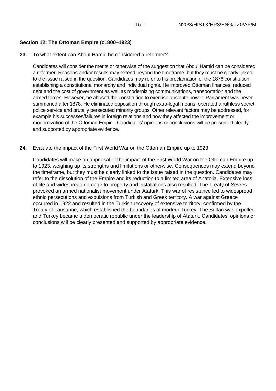# **Section 12: The Ottoman Empire (c1800–1923)**

#### **23.** To what extent can Abdul Hamid be considered a reformer?

Candidates will consider the merits or otherwise of the suggestion that Abdul Hamid can be considered a reformer. Reasons and/or results may extend beyond the timeframe, but they must be clearly linked to the issue raised in the question. Candidates may refer to his proclamation of the 1876 constitution, establishing a constitutional monarchy and individual rights. He improved Ottoman finances, reduced debt and the cost of government as well as modernizing communications, transportation and the armed forces. However, he abused the constitution to exercise absolute power. Parliament was never summoned after 1878. He eliminated opposition through extra-legal means, operated a ruthless secret police service and brutally persecuted minority groups. Other relevant factors may be addressed, for example his successes/failures in foreign relations and how they affected the improvement or modernization of the Ottoman Empire. Candidates' opinions or conclusions will be presented clearly and supported by appropriate evidence.

#### **24.** Evaluate the impact of the First World War on the Ottoman Empire up to 1923.

Candidates will make an appraisal of the impact of the First World War on the Ottoman Empire up to 1923, weighing up its strengths and limitations or otherwise. Consequences may extend beyond the timeframe, but they must be clearly linked to the issue raised in the question. Candidates may refer to the dissolution of the Empire and its reduction to a limited area of Anatolia. Extensive loss of life and widespread damage to property and installations also resulted. The Treaty of Sevres provoked an armed nationalist movement under Ataturk. This war of resistance led to widespread ethnic persecutions and expulsions from Turkish and Greek territory. A war against Greece occurred in 1922 and resulted in the Turkish recovery of extensive territory, confirmed by the Treaty of Lausanne, which established the boundaries of modern Turkey. The Sultan was expelled and Turkey became a democratic republic under the leadership of Ataturk. Candidates' opinions or conclusions will be clearly presented and supported by appropriate evidence.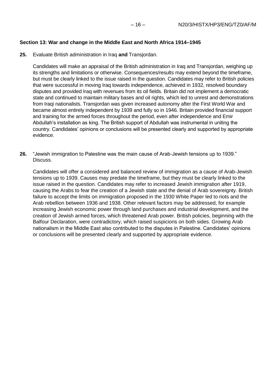# **Section 13: War and change in the Middle East and North Africa 1914–1945**

**25.** Evaluate British administration in Iraq **and** Transjordan.

Candidates will make an appraisal of the British administration in Iraq and Transjordan, weighing up its strengths and limitations or otherwise. Consequences/results may extend beyond the timeframe, but must be clearly linked to the issue raised in the question. Candidates may refer to British policies that were successful in moving Iraq towards independence, achieved in 1932, resolved boundary disputes and provided Iraq with revenues from its oil fields. Britain did not implement a democratic state and continued to maintain military bases and oil rights, which led to unrest and demonstrations from Iraqi nationalists. Transjordan was given increased autonomy after the First World War and became almost entirely independent by 1939 and fully so in 1946. Britain provided financial support and training for the armed forces throughout the period, even after independence and Emir Abdullah's installation as king. The British support of Abdullah was instrumental in uniting the country. Candidates' opinions or conclusions will be presented clearly and supported by appropriate evidence.

**26.** "Jewish immigration to Palestine was the main cause of Arab-Jewish tensions up to 1939." Discuss.

Candidates will offer a considered and balanced review of immigration as a cause of Arab-Jewish tensions up to 1939. Causes may predate the timeframe, but they must be clearly linked to the issue raised in the question. Candidates may refer to increased Jewish immigration after 1919, causing the Arabs to fear the creation of a Jewish state and the denial of Arab sovereignty. British failure to accept the limits on immigration proposed in the 1930 White Paper led to riots and the Arab rebellion between 1936 and 1938. Other relevant factors may be addressed, for example increasing Jewish economic power through land purchases and industrial development, and the creation of Jewish armed forces, which threatened Arab power. British policies, beginning with the Balfour Declaration, were contradictory, which raised suspicions on both sides. Growing Arab nationalism in the Middle East also contributed to the disputes in Palestine. Candidates' opinions or conclusions will be presented clearly and supported by appropriate evidence.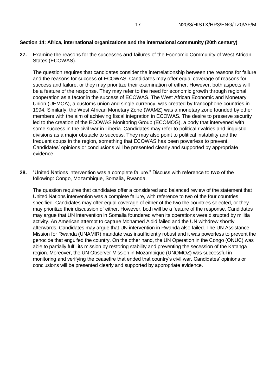#### **Section 14: Africa, international organizations and the international community (20th century)**

**27.** Examine the reasons for the successes **and** failures of the Economic Community of West African States (ECOWAS).

The question requires that candidates consider the interrelationship between the reasons for failure and the reasons for success of ECOWAS. Candidates may offer equal coverage of reasons for success and failure, or they may prioritize their examination of either. However, both aspects will be a feature of the response. They may refer to the need for economic growth through regional cooperation as a factor in the success of ECOWAS. The West African Economic and Monetary Union (UEMOA), a customs union and single currency, was created by francophone countries in 1994. Similarly, the West African Monetary Zone (WAMZ) was a monetary zone founded by other members with the aim of achieving fiscal integration in ECOWAS. The desire to preserve security led to the creation of the ECOWAS Monitoring Group (ECOMOG), a body that intervened with some success in the civil war in Liberia. Candidates may refer to political rivalries and linguistic divisions as a major obstacle to success. They may also point to political instability and the frequent coups in the region, something that ECOWAS has been powerless to prevent. Candidates' opinions or conclusions will be presented clearly and supported by appropriate evidence.

**28.** "United Nations intervention was a complete failure." Discuss with reference to **two** of the following: Congo, Mozambique, Somalia, Rwanda.

The question requires that candidates offer a considered and balanced review of the statement that United Nations intervention was a complete failure, with reference to two of the four countries specified. Candidates may offer equal coverage of either of the two the countries selected, or they may prioritize their discussion of either. However, both will be a feature of the response. Candidates may argue that UN intervention in Somalia foundered when its operations were disrupted by militia activity. An American attempt to capture Mohamed Aidid failed and the UN withdrew shortly afterwards. Candidates may argue that UN intervention in Rwanda also failed. The UN Assistance Mission for Rwanda (UNAMIR) mandate was insufficiently robust and it was powerless to prevent the genocide that engulfed the country. On the other hand, the UN Operation in the Congo (ONUC) was able to partially fulfil its mission by restoring stability and preventing the secession of the Katanga region. Moreover, the UN Observer Mission in Mozambique (UNOMOZ) was successful in monitoring and verifying the ceasefire that ended that country's civil war. Candidates' opinions or conclusions will be presented clearly and supported by appropriate evidence.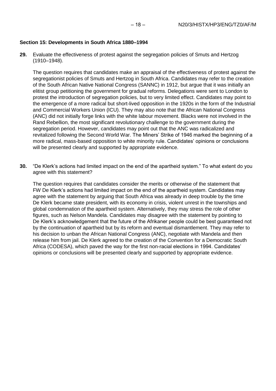# **Section 15: Developments in South Africa 1880–1994**

**29.** Evaluate the effectiveness of protest against the segregation policies of Smuts and Hertzog (1910–1948).

The question requires that candidates make an appraisal of the effectiveness of protest against the segregationist policies of Smuts and Hertzog in South Africa. Candidates may refer to the creation of the South African Native National Congress (SANNC) in 1912, but argue that it was initially an elitist group petitioning the government for gradual reforms. Delegations were sent to London to protest the introduction of segregation policies, but to very limited effect. Candidates may point to the emergence of a more radical but short-lived opposition in the 1920s in the form of the Industrial and Commercial Workers Union (ICU). They may also note that the African National Congress (ANC) did not initially forge links with the white labour movement. Blacks were not involved in the Rand Rebellion, the most significant revolutionary challenge to the government during the segregation period. However, candidates may point out that the ANC was radicalized and revitalized following the Second World War. The Miners' Strike of 1946 marked the beginning of a more radical, mass-based opposition to white minority rule. Candidates' opinions or conclusions will be presented clearly and supported by appropriate evidence.

**30.** "De Klerk's actions had limited impact on the end of the apartheid system." To what extent do you agree with this statement?

The question requires that candidates consider the merits or otherwise of the statement that FW De Klerk's actions had limited impact on the end of the apartheid system. Candidates may agree with the statement by arguing that South Africa was already in deep trouble by the time De Klerk became state president, with its economy in crisis, violent unrest in the townships and global condemnation of the apartheid system. Alternatively, they may stress the role of other figures, such as Nelson Mandela. Candidates may disagree with the statement by pointing to De Klerk's acknowledgement that the future of the Afrikaner people could be best guaranteed not by the continuation of apartheid but by its reform and eventual dismantlement. They may refer to his decision to unban the African National Congress (ANC), negotiate with Mandela and then release him from jail. De Klerk agreed to the creation of the Convention for a Democratic South Africa (CODESA), which paved the way for the first non-racial elections in 1994. Candidates' opinions or conclusions will be presented clearly and supported by appropriate evidence.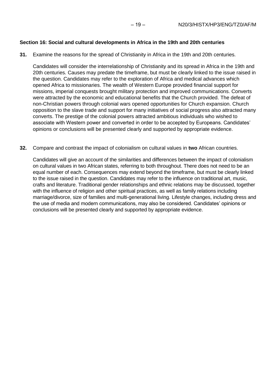#### **Section 16: Social and cultural developments in Africa in the 19th and 20th centuries**

**31.** Examine the reasons for the spread of Christianity in Africa in the 19th and 20th centuries.

Candidates will consider the interrelationship of Christianity and its spread in Africa in the 19th and 20th centuries. Causes may predate the timeframe, but must be clearly linked to the issue raised in the question. Candidates may refer to the exploration of Africa and medical advances which opened Africa to missionaries. The wealth of Western Europe provided financial support for missions, imperial conquests brought military protection and improved communications. Converts were attracted by the economic and educational benefits that the Church provided. The defeat of non-Christian powers through colonial wars opened opportunities for Church expansion. Church opposition to the slave trade and support for many initiatives of social progress also attracted many converts. The prestige of the colonial powers attracted ambitious individuals who wished to associate with Western power and converted in order to be accepted by Europeans. Candidates' opinions or conclusions will be presented clearly and supported by appropriate evidence.

**32.** Compare and contrast the impact of colonialism on cultural values in **two** African countries.

Candidates will give an account of the similarities and differences between the impact of colonialism on cultural values in two African states, referring to both throughout. There does not need to be an equal number of each. Consequences may extend beyond the timeframe, but must be clearly linked to the issue raised in the question. Candidates may refer to the influence on traditional art, music, crafts and literature. Traditional gender relationships and ethnic relations may be discussed, together with the influence of religion and other spiritual practices, as well as family relations including marriage/divorce, size of families and multi-generational living. Lifestyle changes, including dress and the use of media and modern communications, may also be considered. Candidates' opinions or conclusions will be presented clearly and supported by appropriate evidence.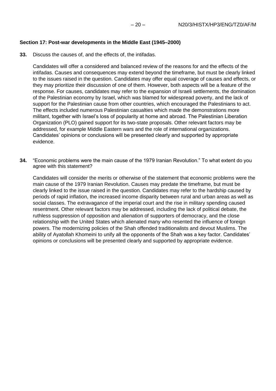# **Section 17: Post-war developments in the Middle East (1945–2000)**

**33.** Discuss the causes of, and the effects of, the intifadas.

Candidates will offer a considered and balanced review of the reasons for and the effects of the intifadas. Causes and consequences may extend beyond the timeframe, but must be clearly linked to the issues raised in the question. Candidates may offer equal coverage of causes and effects, or they may prioritize their discussion of one of them. However, both aspects will be a feature of the response. For causes, candidates may refer to the expansion of Israeli settlements, the domination of the Palestinian economy by Israel, which was blamed for widespread poverty, and the lack of support for the Palestinian cause from other countries, which encouraged the Palestinians to act. The effects included numerous Palestinian casualties which made the demonstrations more militant, together with Israel's loss of popularity at home and abroad. The Palestinian Liberation Organization (PLO) gained support for its two-state proposals. Other relevant factors may be addressed, for example Middle Eastern wars and the role of international organizations. Candidates' opinions or conclusions will be presented clearly and supported by appropriate evidence.

**34.** "Economic problems were the main cause of the 1979 Iranian Revolution." To what extent do you agree with this statement?

Candidates will consider the merits or otherwise of the statement that economic problems were the main cause of the 1979 Iranian Revolution. Causes may predate the timeframe, but must be clearly linked to the issue raised in the question. Candidates may refer to the hardship caused by periods of rapid inflation, the increased income disparity between rural and urban areas as well as social classes. The extravagance of the imperial court and the rise in military spending caused resentment. Other relevant factors may be addressed, including the lack of political debate, the ruthless suppression of opposition and alienation of supporters of democracy, and the close relationship with the United States which alienated many who resented the influence of foreign powers. The modernizing policies of the Shah offended traditionalists and devout Muslims. The ability of Ayatollah Khomeini to unify all the opponents of the Shah was a key factor. Candidates' opinions or conclusions will be presented clearly and supported by appropriate evidence.